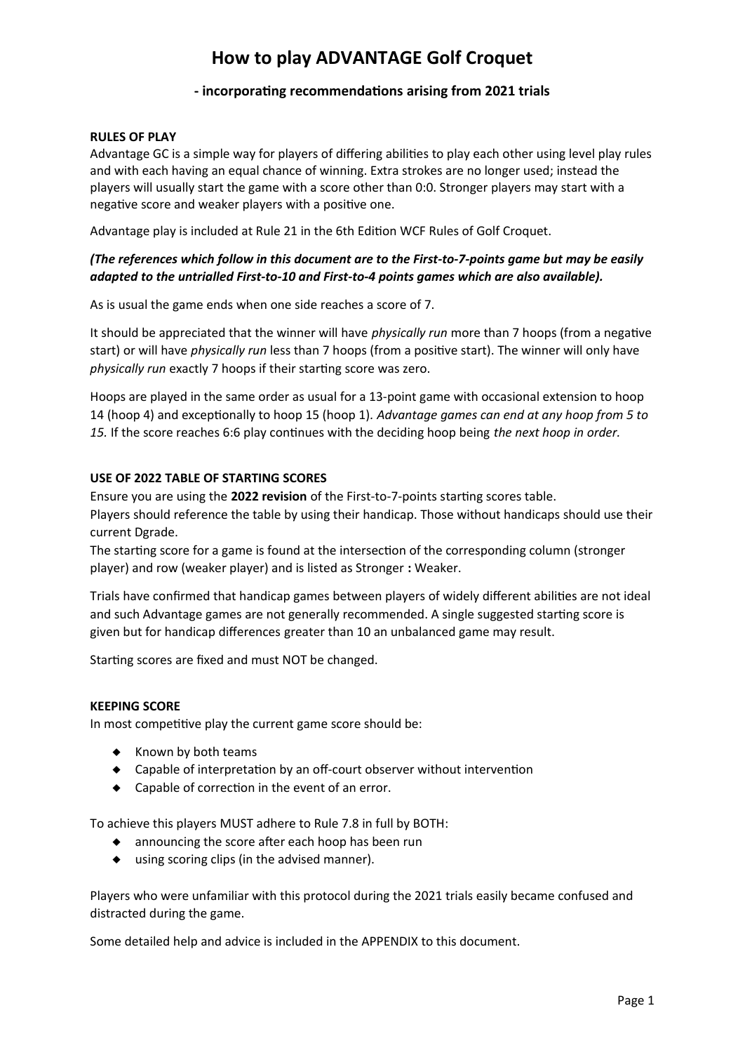# **How to play ADVANTAGE Golf Croquet**

## **- incorporating recommendations arising from 2021 trials**

#### **RULES OF PLAY**

Advantage GC is a simple way for players of differing abilities to play each other using level play rules and with each having an equal chance of winning. Extra strokes are no longer used; instead the players will usually start the game with a score other than 0:0. Stronger players may start with a negative score and weaker players with a positive one.

Advantage play is included at Rule 21 in the 6th Edition WCF Rules of Golf Croquet.

## *(The references which follow in this document are to the First-to-7-points game but may be easily adapted to the untrialled First-to-10 and First-to-4 points games which are also available).*

As is usual the game ends when one side reaches a score of 7.

It should be appreciated that the winner will have *physically run* more than 7 hoops (from a negative start) or will have *physically run* less than 7 hoops (from a positive start). The winner will only have *physically run* exactly 7 hoops if their starting score was zero.

Hoops are played in the same order as usual for a 13-point game with occasional extension to hoop 14 (hoop 4) and exceptionally to hoop 15 (hoop 1)*. Advantage games can end at any hoop from 5 to 15.* If the score reaches 6:6 play continues with the deciding hoop being *the next hoop in order.*

#### **USE OF 2022 TABLE OF STARTING SCORES**

Ensure you are using the **2022 revision** of the First-to-7-points starting scores table. Players should reference the table by using their handicap. Those without handicaps should use their current Dgrade.

The starting score for a game is found at the intersection of the corresponding column (stronger player) and row (weaker player) and is listed as Stronger **:** Weaker.

Trials have confirmed that handicap games between players of widely different abilities are not ideal and such Advantage games are not generally recommended. A single suggested starting score is given but for handicap differences greater than 10 an unbalanced game may result.

Starting scores are fixed and must NOT be changed.

#### **KEEPING SCORE**

In most competitive play the current game score should be:

- $\triangleleft$  Known by both teams
- Capable of interpretation by an off-court observer without intervention
- ◆ Capable of correction in the event of an error.

To achieve this players MUST adhere to Rule 7.8 in full by BOTH:

- ◆ announcing the score after each hoop has been run
- using scoring clips (in the advised manner).

Players who were unfamiliar with this protocol during the 2021 trials easily became confused and distracted during the game.

Some detailed help and advice is included in the APPENDIX to this document.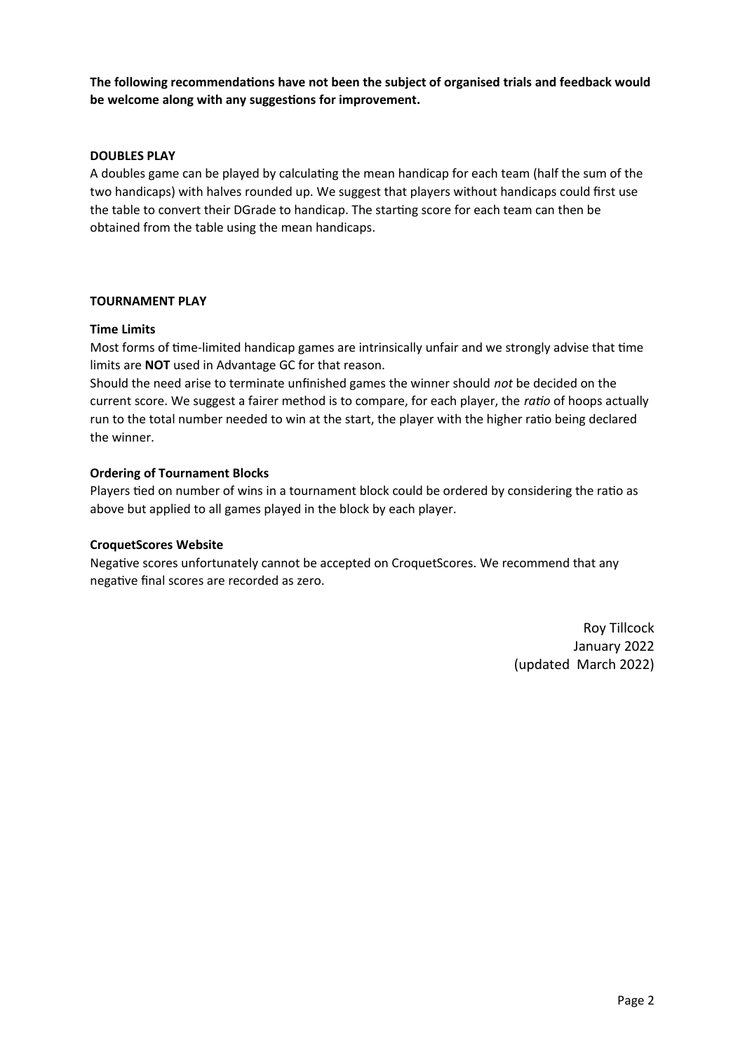**The following recommendations have not been the subject of organised trials and feedback would be welcome along with any suggestions for improvement.**

#### **DOUBLES PLAY**

A doubles game can be played by calculating the mean handicap for each team (half the sum of the two handicaps) with halves rounded up. We suggest that players without handicaps could first use the table to convert their DGrade to handicap. The starting score for each team can then be obtained from the table using the mean handicaps.

#### **TOURNAMENT PLAY**

#### **Time Limits**

Most forms of time-limited handicap games are intrinsically unfair and we strongly advise that time limits are **NOT** used in Advantage GC for that reason.

Should the need arise to terminate unfinished games the winner should *not* be decided on the current score. We suggest a fairer method is to compare, for each player, the *ratio* of hoops actually run to the total number needed to win at the start, the player with the higher ratio being declared the winner.

#### **Ordering of Tournament Blocks**

Players tied on number of wins in a tournament block could be ordered by considering the ratio as above but applied to all games played in the block by each player.

#### **CroquetScores Website**

Negative scores unfortunately cannot be accepted on CroquetScores. We recommend that any negative final scores are recorded as zero.

> Roy Tillcock January 2022 (updated March 2022)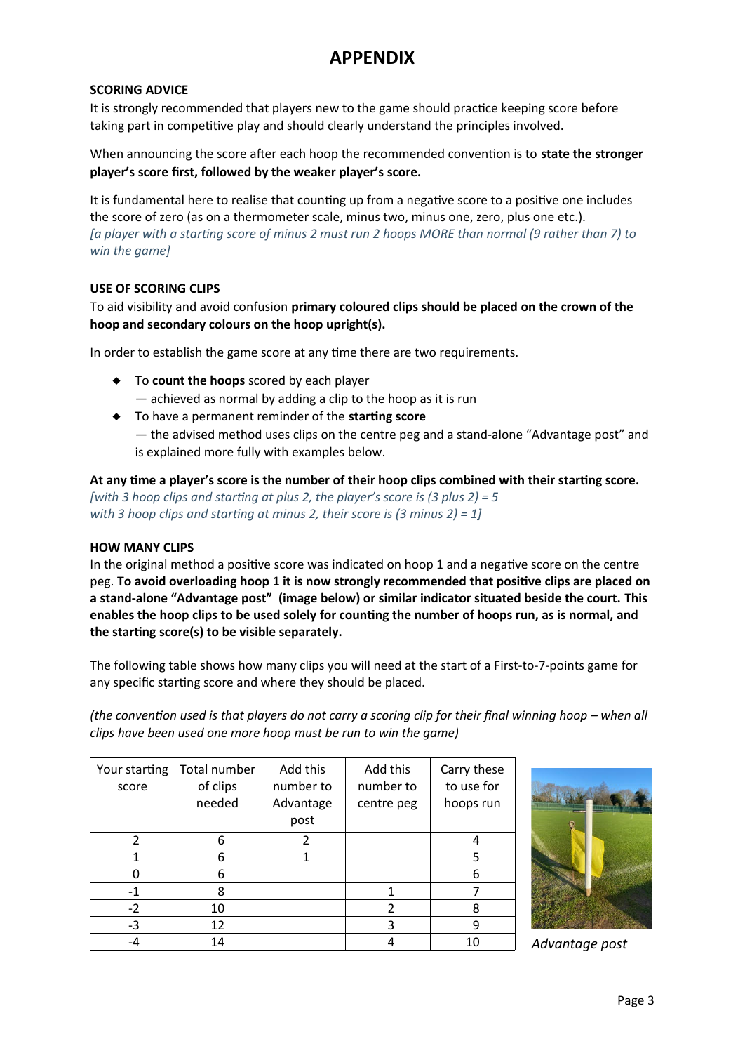## **APPENDIX**

#### **SCORING ADVICE**

It is strongly recommended that players new to the game should practice keeping score before taking part in competitive play and should clearly understand the principles involved.

When announcing the score after each hoop the recommended convention is to **state the stronger player's score first, followed by the weaker player's score.**

It is fundamental here to realise that counting up from a negative score to a positive one includes the score of zero (as on a thermometer scale, minus two, minus one, zero, plus one etc.). *[a player with a starting score of minus 2 must run 2 hoops MORE than normal (9 rather than 7) to win the game]*

#### **USE OF SCORING CLIPS**

## To aid visibility and avoid confusion **primary coloured clips should be placed on the crown of the hoop and secondary colours on the hoop upright(s).**

In order to establish the game score at any time there are two requirements.

- To **count the hoops** scored by each player
	- achieved as normal by adding a clip to the hoop as it is run
- To have a permanent reminder of the **starting score** — the advised method uses clips on the centre peg and a stand-alone "Advantage post" and is explained more fully with examples below.

**At any time a player's score is the number of their hoop clips combined with their starting score.** *[with 3 hoop clips and starting at plus 2, the player's score is (3 plus 2) = 5 with 3 hoop clips and starting at minus 2, their score is (3 minus 2) = 1]*

#### **HOW MANY CLIPS**

In the original method a positive score was indicated on hoop 1 and a negative score on the centre peg. **To avoid overloading hoop 1 it is now strongly recommended that positive clips are placed on a stand-alone "Advantage post" (image below) or similar indicator situated beside the court. This enables the hoop clips to be used solely for counting the number of hoops run, as is normal, and the starting score(s) to be visible separately.**

The following table shows how many clips you will need at the start of a First-to-7-points game for any specific starting score and where they should be placed.

*(the convention used is that players do not carry a scoring clip for their final winning hoop – when all clips have been used one more hoop must be run to win the game)*

| Your starting<br>score | Total number<br>of clips<br>needed | Add this<br>number to<br>Advantage<br>post | Add this<br>number to<br>centre peg | Carry these<br>to use for<br>hoops run |
|------------------------|------------------------------------|--------------------------------------------|-------------------------------------|----------------------------------------|
| $\mathfrak z$          | 6                                  | 2                                          |                                     |                                        |
|                        | 6                                  |                                            |                                     | 5                                      |
| n                      | 6                                  |                                            |                                     | 6                                      |
| $-1$                   | 8                                  |                                            |                                     |                                        |
| $-2$                   | 10                                 |                                            | $\mathfrak{p}$                      | 8                                      |
| $-3$                   | 12                                 |                                            | 3                                   | 9                                      |
|                        | 14                                 |                                            |                                     | 10                                     |



*Advantage post*